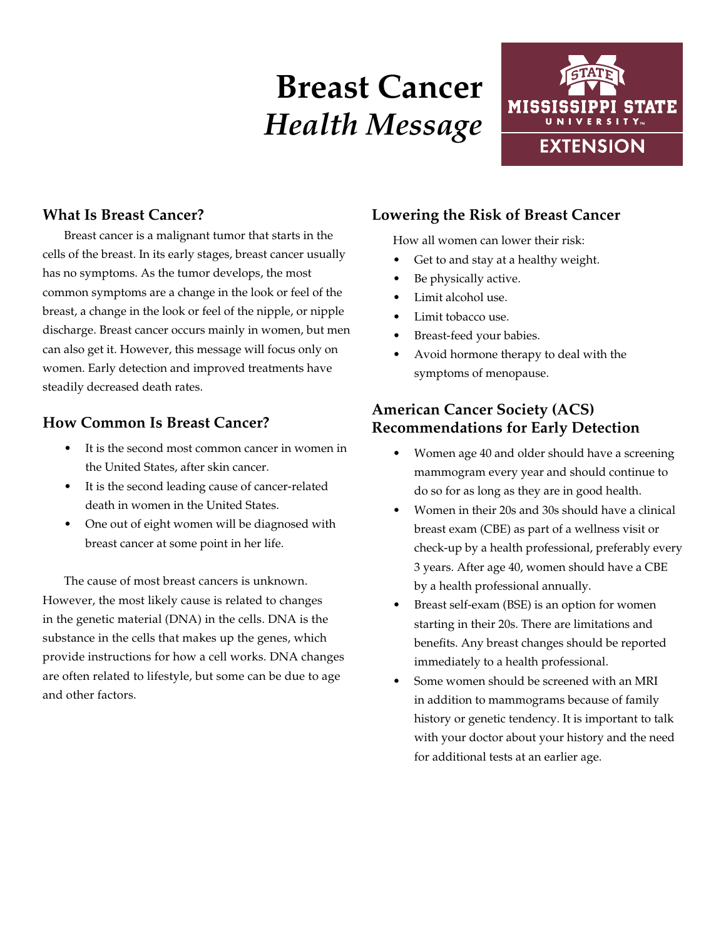# **Breast Cancer** *Health Message*



#### **What Is Breast Cancer?**

Breast cancer is a malignant tumor that starts in the cells of the breast. In its early stages, breast cancer usually has no symptoms. As the tumor develops, the most common symptoms are a change in the look or feel of the breast, a change in the look or feel of the nipple, or nipple discharge. Breast cancer occurs mainly in women, but men can also get it. However, this message will focus only on women. Early detection and improved treatments have steadily decreased death rates.

### **How Common Is Breast Cancer?**

- It is the second most common cancer in women in the United States, after skin cancer.
- It is the second leading cause of cancer-related death in women in the United States.
- One out of eight women will be diagnosed with breast cancer at some point in her life.

The cause of most breast cancers is unknown. However, the most likely cause is related to changes in the genetic material (DNA) in the cells. DNA is the substance in the cells that makes up the genes, which provide instructions for how a cell works. DNA changes are often related to lifestyle, but some can be due to age and other factors.

#### **Lowering the Risk of Breast Cancer**

How all women can lower their risk:

- Get to and stay at a healthy weight.
- Be physically active.
- Limit alcohol use.
- Limit tobacco use.
- Breast-feed your babies.
- Avoid hormone therapy to deal with the symptoms of menopause.

## **American Cancer Society (ACS) Recommendations for Early Detection**

- Women age 40 and older should have a screening mammogram every year and should continue to do so for as long as they are in good health.
- Women in their 20s and 30s should have a clinical breast exam (CBE) as part of a wellness visit or check-up by a health professional, preferably every 3 years. After age 40, women should have a CBE by a health professional annually.
- Breast self-exam (BSE) is an option for women starting in their 20s. There are limitations and benefits. Any breast changes should be reported immediately to a health professional.
- Some women should be screened with an MRI in addition to mammograms because of family history or genetic tendency. It is important to talk with your doctor about your history and the need for additional tests at an earlier age.